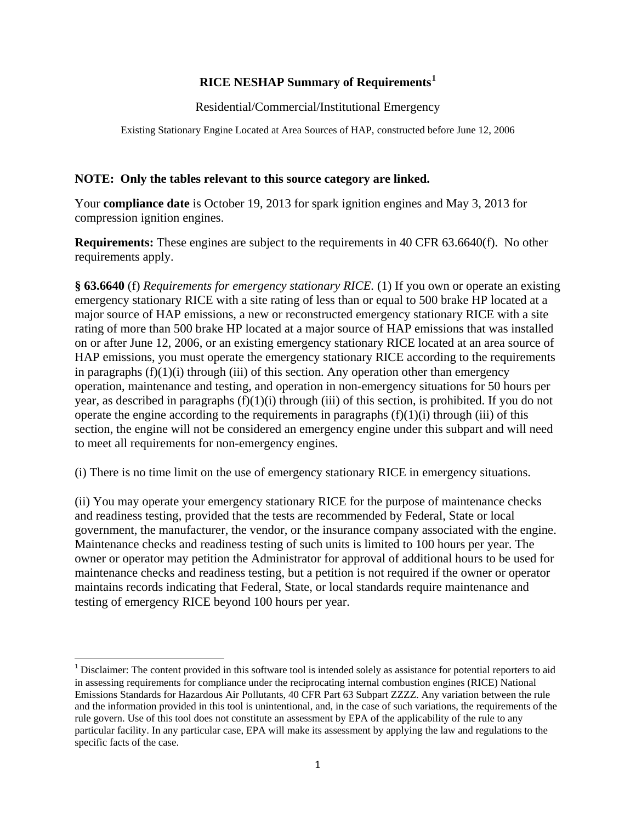## **RICE NESHAP Summary of Requirements[1](#page-0-0)**

Residential/Commercial/Institutional Emergency

Existing Stationary Engine Located at Area Sources of HAP, constructed before June 12, 2006

## **NOTE: Only the tables relevant to this source category are linked.**

Your **compliance date** is October 19, 2013 for spark ignition engines and May 3, 2013 for compression ignition engines.

**Requirements:** These engines are subject to the requirements in 40 CFR 63.6640(f). No other requirements apply.

**§ 63.6640** (f) *Requirements for emergency stationary RICE.* (1) If you own or operate an existing emergency stationary RICE with a site rating of less than or equal to 500 brake HP located at a major source of HAP emissions, a new or reconstructed emergency stationary RICE with a site rating of more than 500 brake HP located at a major source of HAP emissions that was installed on or after June 12, 2006, or an existing emergency stationary RICE located at an area source of HAP emissions, you must operate the emergency stationary RICE according to the requirements in paragraphs  $(f)(1)(i)$  through (iii) of this section. Any operation other than emergency operation, maintenance and testing, and operation in non-emergency situations for 50 hours per year, as described in paragraphs  $(f)(1)(i)$  through (iii) of this section, is prohibited. If you do not operate the engine according to the requirements in paragraphs  $(f)(1)(i)$  through (iii) of this section, the engine will not be considered an emergency engine under this subpart and will need to meet all requirements for non-emergency engines.

(i) There is no time limit on the use of emergency stationary RICE in emergency situations.

(ii) You may operate your emergency stationary RICE for the purpose of maintenance checks and readiness testing, provided that the tests are recommended by Federal, State or local government, the manufacturer, the vendor, or the insurance company associated with the engine. Maintenance checks and readiness testing of such units is limited to 100 hours per year. The owner or operator may petition the Administrator for approval of additional hours to be used for maintenance checks and readiness testing, but a petition is not required if the owner or operator maintains records indicating that Federal, State, or local standards require maintenance and testing of emergency RICE beyond 100 hours per year.

<span id="page-0-0"></span><sup>&</sup>lt;sup>1</sup> Disclaimer: The content provided in this software tool is intended solely as assistance for potential reporters to aid in assessing requirements for compliance under the reciprocating internal combustion engines (RICE) National Emissions Standards for Hazardous Air Pollutants, 40 CFR Part 63 Subpart ZZZZ. Any variation between the rule and the information provided in this tool is unintentional, and, in the case of such variations, the requirements of the rule govern. Use of this tool does not constitute an assessment by EPA of the applicability of the rule to any particular facility. In any particular case, EPA will make its assessment by applying the law and regulations to the specific facts of the case.